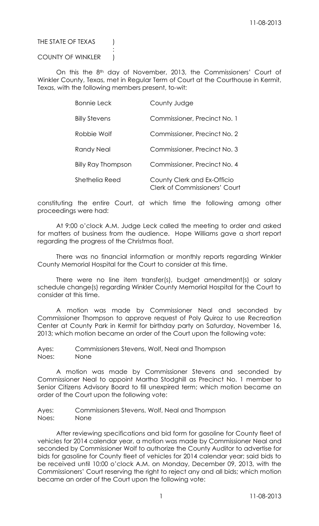# THE STATE OF TEXAS (

## COUNTY OF WINKLER )

:

On this the 8<sup>th</sup> day of November, 2013, the Commissioners' Court of Winkler County, Texas, met in Regular Term of Court at the Courthouse in Kermit, Texas, with the following members present, to-wit:

| <b>Bonnie Leck</b>        | County Judge                                                        |
|---------------------------|---------------------------------------------------------------------|
| <b>Billy Stevens</b>      | Commissioner, Precinct No. 1                                        |
| Robbie Wolf               | Commissioner, Precinct No. 2                                        |
| Randy Neal                | Commissioner, Precinct No. 3                                        |
| <b>Billy Ray Thompson</b> | Commissioner, Precinct No. 4                                        |
| Shethelia Reed            | County Clerk and Ex-Officio<br><b>Clerk of Commissioners' Court</b> |

constituting the entire Court, at which time the following among other proceedings were had:

At 9:00 o'clock A.M. Judge Leck called the meeting to order and asked for matters of business from the audience. Hope Williams gave a short report regarding the progress of the Christmas float.

There was no financial information or monthly reports regarding Winkler County Memorial Hospital for the Court to consider at this time.

There were no line item transfer(s), budget amendment(s) or salary schedule change(s) regarding Winkler County Memorial Hospital for the Court to consider at this time.

A motion was made by Commissioner Neal and seconded by Commissioner Thompson to approve request of Poly Quiroz to use Recreation Center at County Park in Kermit for birthday party on Saturday, November 16, 2013; which motion became an order of the Court upon the following vote:

Ayes: Commissioners Stevens, Wolf, Neal and Thompson Noes: None

A motion was made by Commissioner Stevens and seconded by Commissioner Neal to appoint Martha Stodghill as Precinct No. 1 member to Senior Citizens Advisory Board to fill unexpired term; which motion became an order of the Court upon the following vote:

Ayes: Commissioners Stevens, Wolf, Neal and Thompson Noes: None

After reviewing specifications and bid form for gasoline for County fleet of vehicles for 2014 calendar year, a motion was made by Commissioner Neal and seconded by Commissioner Wolf to authorize the County Auditor to advertise for bids for gasoline for County fleet of vehicles for 2014 calendar year; said bids to be received until 10:00 o'clock A.M. on Monday, December 09, 2013, with the Commissioners' Court reserving the right to reject any and all bids; which motion became an order of the Court upon the following vote: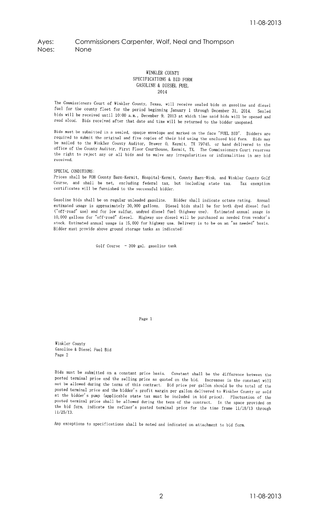# Ayes: Commissioners Carpenter, Wolf, Neal and Thompson Noes: None

### WINKLER COUNTY SPECIFICATIONS & BID FORM GASOLINE & DIESEL FUEL 2014

The Commissioners Court of Winkler County, Texas, will receive sealed bids on gasoline and diesel fuel for the county fleet for the period beginning January 1 through December 31, 2014. Sealed bids will be received until 10:00 a.m., December 9, 2013 at which time said bids will be opened and read aloud. Bids received after that date and time will be returned to the bidder unopened.

Bids must be submitted in a sealed, opaque envelope and marked on the face "FUEL BID". Bidders are required to submit the original and five copies of their bid using the enclosed bid form. Bids may be mailed to the Winkler County Auditor, Drawer O, Kermit, TX 79745, or hand delivered to the office of the County Auditor, First Floor Courthouse, Kermit, TX. The Commissioners Court reserves the right to reject any or all bids and to waive any irregularities or informalities in any bid received.

SPECIAL CONDITIONS:

Prices shall be FOB County Barn-Kermit, Hospital-Kermit, County Barn-Wink, and Winkler County Golf Course, and shall be net, excluding federal tax, but including state tax. Tax exemption certificates will be furnished to the successful bidder.

Gasoline bids shall be on regular unleaded gasoline. Bidder shall indicate octane rating. Annual estimated usage is approximately 30,000 gallons. Diesel bids shall be for both dyed diesel fuel ("off-road" use) and for low sulfur, undyed diesel fuel (highway use). Estimated annual usage is 10,000 gallons for "off-road" diesel. Highway use diesel will be purchased as needed from vendor's stock. Estimated annual usage is 15,000 for highway use. Delivery is to be on an "as needed" basis. Bidder must provide above ground storage tanks as indicated:

Golf Course - 300 gal. gasoline tank

Page 1

Winkler County Gasoline & Diesel Fuel Bid Page 2

Bids must be submitted on a constant price basis. Constant shall be the difference between the posted terminal price and the selling price as quoted on the bid. Increases in the constant will not be allowed during the terms of this contract. Bid price per gallon should be the total of the posted terminal price and the bidder's profit margin per gallon delivered to Winkler County or sold at the bidder's pump (applicable state tax must be included in bid price). Fluctuation of the posted terminal price shall be allowed during the term of the contract. In the space provided on the bid form, indicate the refiner's posted terminal price for the time frame  $11/18/13$  through  $11/25/13.$ 

Any exceptions to specifications shall be noted and indicated on attachment to bid form.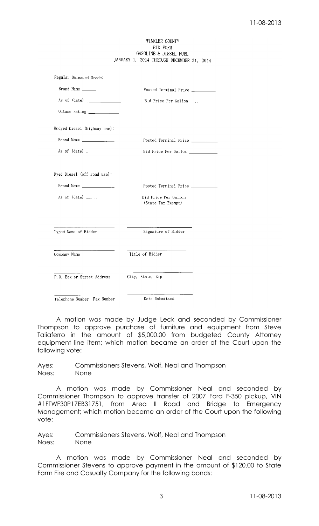### WINKLER COUNTY BID FORM GASOLINE & DIESEL FUEL JANUARY 1, 2014 THROUGH DECEMBER 31, 2014

| Regular Unleaded Grade:      |                                            |
|------------------------------|--------------------------------------------|
| Brand Name                   | Posted Terminal Price ___________          |
|                              | Bid Price Per Gallon                       |
| Octane Rating ____________   |                                            |
| Undyed Diesel (highway use): |                                            |
| Brand Name                   | Posted Terminal Price                      |
|                              | Bid Price Per Gallon                       |
| Dyed Diesel (off-road use):  |                                            |
|                              | Posted Terminal Price                      |
| As of $(data)$               | Bid Price Per Gallon<br>(State Tax Exempt) |
| Typed Name of Bidder         | Signature of Bidder                        |
| Company Name                 | Title of Bidder                            |
| P.O. Box or Street Address   | City, State, Zip                           |
| Telenhone Number Fax Number  | Date Submitted                             |

A motion was made by Judge Leck and seconded by Commissioner Thompson to approve purchase of furniture and equipment from Steve Taliaferro in the amount of \$5,000.00 from budgeted County Attorney equipment line item; which motion became an order of the Court upon the following vote:

Ayes: Commissioners Stevens, Wolf, Neal and Thompson Noes: None

A motion was made by Commissioner Neal and seconded by Commissioner Thompson to approve transfer of 2007 Ford F-350 pickup, VIN #1FTWF30P17EB31751, from Area II Road and Bridge to Emergency Management; which motion became an order of the Court upon the following vote:

Ayes: Commissioners Stevens, Wolf, Neal and Thompson Noes: None

A motion was made by Commissioner Neal and seconded by Commissioner Stevens to approve payment in the amount of \$120.00 to State Farm Fire and Casualty Company for the following bonds: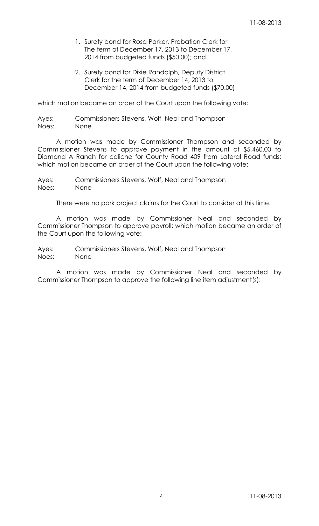- 1. Surety bond for Rosa Parker, Probation Clerk for The term of December 17, 2013 to December 17, 2014 from budgeted funds (\$50.00); and
- 2. Surety bond for Dixie Randolph, Deputy District Clerk for the term of December 14, 2013 to December 14, 2014 from budgeted funds (\$70.00)

which motion became an order of the Court upon the following vote:

Ayes: Commissioners Stevens, Wolf, Neal and Thompson Noes: None

A motion was made by Commissioner Thompson and seconded by Commissioner Stevens to approve payment in the amount of \$5,460.00 to Diamond A Ranch for caliche for County Road 409 from Lateral Road funds; which motion became an order of the Court upon the following vote:

Ayes: Commissioners Stevens, Wolf, Neal and Thompson Noes: None

There were no park project claims for the Court to consider at this time.

A motion was made by Commissioner Neal and seconded by Commissioner Thompson to approve payroll; which motion became an order of the Court upon the following vote:

Ayes: Commissioners Stevens, Wolf, Neal and Thompson Noes: None

A motion was made by Commissioner Neal and seconded by Commissioner Thompson to approve the following line item adjustment(s):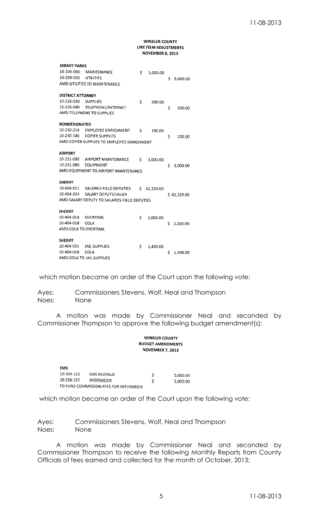#### **WINKLER COUNTY** LINE ITEM ADJUSTMENTS **NOVEMBER 8, 2013**

| <b>KERMIT PARKS</b>                          |                                            |     |           |   |             |
|----------------------------------------------|--------------------------------------------|-----|-----------|---|-------------|
| 10-209-090                                   | <b>MAINTENANCE</b>                         | \$  | 5,000.00  |   |             |
| 10-209-050                                   | <b>UTILITIES</b>                           |     |           | Ś | 5,000.00    |
| AMD-UTILITIES TO MAINTENANCE                 |                                            |     |           |   |             |
| <b>DISTRICT ATTORNEY</b>                     |                                            |     |           |   |             |
| 10-226-030                                   | <b>SUPPLIES</b>                            | Ś   | 500.00    |   |             |
| 10-226-040                                   | TELEPHONE/INTERNET                         |     |           | Ś | 500.00      |
|                                              | AMD-TELEPHONE TO SUPPLIES                  |     |           |   |             |
| NONDESIGNATED                                |                                            |     |           |   |             |
| 10-230-214                                   | <b>EMPLOYEE ENRICHMENT</b>                 | \$. | 100.00    |   |             |
| 10-230-146                                   | <b>COPIER SUPPLIES</b>                     |     |           | Ś | 100.00      |
|                                              | AMD-COPIER SUPPLIES TO EMPLOYEE ENRICHMENT |     |           |   |             |
| <b>AIRPORT</b>                               |                                            |     |           |   |             |
|                                              | 10-231-090 AIRPORT MAINTENANCE             | Ś   | 3,000.00  |   |             |
| 10-231-080                                   | <b>EQUIPMENT</b>                           |     |           | Ś | 3,000.00    |
| AMD-EQUIPMENT TO AIRPORT MAINTENANCE         |                                            |     |           |   |             |
| <b>SHERIFF</b>                               |                                            |     |           |   |             |
|                                              | 10-404-011 SALARIES FIELD DEPUTIES         | \$  | 42,329.00 |   |             |
| 10-404-024                                   | SALARY DEPUTY/JAILER                       |     |           |   | \$42,329.00 |
| AMD-SALARY DEPUTY TO SALARIES FIELD DEPUTIES |                                            |     |           |   |             |
| <b>SHERIFF</b>                               |                                            |     |           |   |             |
| 10-404-014                                   | OVERTIME                                   | \$  | 2,000.00  |   |             |
| 10-404-018                                   | COLA                                       |     |           | Ś | 2,000.00    |
| AMD-COLA TO OVERTIME                         |                                            |     |           |   |             |
| <b>SHERIFF</b>                               |                                            |     |           |   |             |
| 10-404-031                                   | <b>JAIL SUPPLIES</b>                       | Ś   | 1,400.00  |   |             |
| 10-404-018                                   | <b>COLA</b>                                |     |           | Ś | 1.400.00    |
| AMD-COLA TO JAIL SUPPLIES                    |                                            |     |           |   |             |

which motion became an order of the Court upon the following vote:

Ayes: Commissioners Stevens, Wolf, Neal and Thompson Noes: None

A motion was made by Commissioner Neal and seconded by Commissioner Thompson to approve the following budget amendment(s):

#### **WINKLER COUNTY BUDGET AMENDMENTS NOVEMBER 7, 2013**

| EMS                                    |                    |   |          |
|----------------------------------------|--------------------|---|----------|
| 10-104-212                             | <b>EMS REVENUE</b> | s | 5.000.00 |
| 10-236-157                             | INTERMEDIX         |   | 5,000.00 |
| TO FUND COMMISSION FEES FOR INTERMEDIX |                    |   |          |

which motion became an order of the Court upon the following vote:

Ayes: Commissioners Stevens, Wolf, Neal and Thompson Noes: None

A motion was made by Commissioner Neal and seconded by Commissioner Thompson to receive the following Monthly Reports from County Officials of fees earned and collected for the month of October, 2013;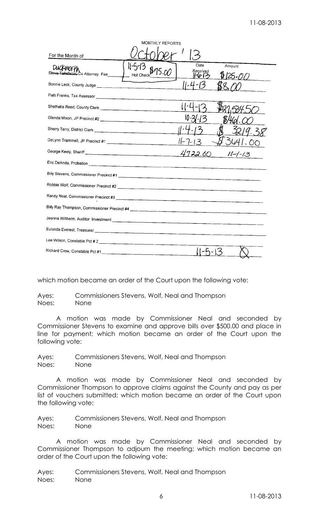| MONTHLY REPORTS                               |                                      |  |  |  |
|-----------------------------------------------|--------------------------------------|--|--|--|
| For the Month of                              |                                      |  |  |  |
| DUCKWORK<br>Steve Taliaferro, Co Attorney Fee | Date<br>Amount<br>Received<br>125.00 |  |  |  |
|                                               |                                      |  |  |  |
|                                               |                                      |  |  |  |
|                                               |                                      |  |  |  |
|                                               |                                      |  |  |  |
|                                               |                                      |  |  |  |
|                                               |                                      |  |  |  |
|                                               | 4722.60<br>$11 - 1 - 13$             |  |  |  |
|                                               |                                      |  |  |  |
|                                               |                                      |  |  |  |
|                                               |                                      |  |  |  |
|                                               |                                      |  |  |  |
|                                               |                                      |  |  |  |
|                                               |                                      |  |  |  |
|                                               |                                      |  |  |  |
|                                               |                                      |  |  |  |
|                                               |                                      |  |  |  |
|                                               |                                      |  |  |  |

which motion became an order of the Court upon the following vote:

Ayes: Commissioners Stevens, Wolf, Neal and Thompson Noes: None

A motion was made by Commissioner Neal and seconded by Commissioner Stevens to examine and approve bills over \$500.00 and place in line for payment; which motion became an order of the Court upon the following vote:

Ayes: Commissioners Stevens, Wolf, Neal and Thompson Noes: None

A motion was made by Commissioner Neal and seconded by Commissioner Thompson to approve claims against the County and pay as per list of vouchers submitted; which motion became an order of the Court upon the following vote:

Ayes: Commissioners Stevens, Wolf, Neal and Thompson Noes: None

A motion was made by Commissioner Neal and seconded by Commissioner Thompson to adjourn the meeting; which motion became an order of the Court upon the following vote:

Ayes: Commissioners Stevens, Wolf, Neal and Thompson Noes: None